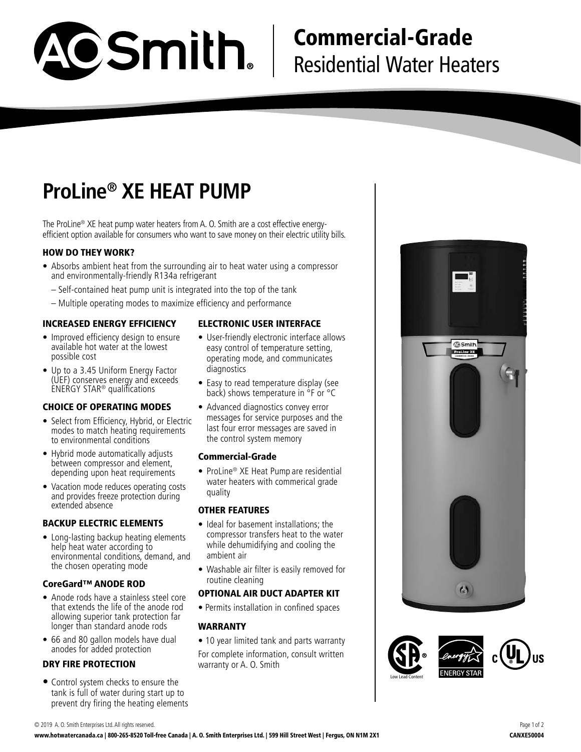

# Commercial-Grade Residential Water Heaters

# **ProLine® XE HEAT PUMP**

The ProLine® XE heat pump water heaters from A. O. Smith are a cost effective energyefficient option available for consumers who want to save money on their electric utility bills.

# HOW DO THEY WORK?

- Absorbs ambient heat from the surrounding air to heat water using a compressor and environmentally-friendly R134a refrigerant
	- Self-contained heat pump unit is integrated into the top of the tank
	- Multiple operating modes to maximize efficiency and performance

## INCREASED ENERGY EFFICIENCY

- Improved efficiency design to ensure available hot water at the lowest possible cost
- Up to a 3.45 Uniform Energy Factor (UEF) conserves energy and exceeds ENERGY STAR® qualifications

### CHOICE OF OPERATING MODES

- Select from Efficiency, Hybrid, or Electric modes to match heating requirements to environmental conditions
- Hybrid mode automatically adjusts between compressor and element, depending upon heat requirements
- Vacation mode reduces operating costs and provides freeze protection during extended absence

## BACKUP ELECTRIC ELEMENTS

• Long-lasting backup heating elements help heat water according to environmental conditions, demand, and the chosen operating mode

## CoreGard™ ANODE ROD

- Anode rods have a stainless steel core that extends the life of the anode rod allowing superior tank protection far longer than standard anode rods
- 66 and 80 gallon models have dual anodes for added protection

## DRY FIRE PROTECTION

**•** Control system checks to ensure the tank is full of water during start up to prevent dry firing the heating elements

## ELECTRONIC USER INTERFACE

- User-friendly electronic interface allows easy control of temperature setting, operating mode, and communicates diagnostics
- Easy to read temperature display (see back) shows temperature in °F or °C
- Advanced diagnostics convey error messages for service purposes and the last four error messages are saved in the control system memory

### Commercial-Grade

• ProLine® XE Heat Pump are residential water heaters with commerical grade quality

### OTHER FEATURES

- Ideal for basement installations; the compressor transfers heat to the water while dehumidifying and cooling the ambient air
- Washable air filter is easily removed for routine cleaning

### OPTIONAL AIR DUCT ADAPTER KIT

• Permits installation in confined spaces

## WARRANTY

- 10 year limited tank and parts warranty
- For complete information, consult written warranty or A. O. Smith